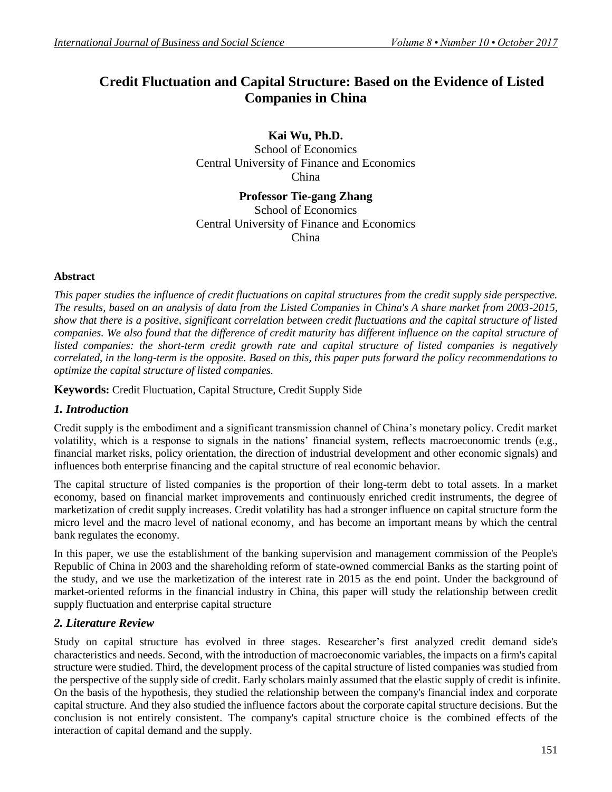# **Credit Fluctuation and Capital Structure: Based on the Evidence of Listed Companies in China**

**Kai Wu, Ph.D.**

School of Economics Central University of Finance and Economics China

**Professor Tie-gang Zhang** School of Economics Central University of Finance and Economics China

# **Abstract**

*This paper studies the influence of credit fluctuations on capital structures from the credit supply side perspective. The results, based on an analysis of data from the Listed Companies in China's A share market from 2003-2015, show that there is a positive, significant correlation between credit fluctuations and the capital structure of listed companies. We also found that the difference of credit maturity has different influence on the capital structure of listed companies: the short-term credit growth rate and capital structure of listed companies is negatively correlated, in the long-term is the opposite. Based on this, this paper puts forward the policy recommendations to optimize the capital structure of listed companies.*

**Keywords:** Credit Fluctuation, Capital Structure, Credit Supply Side

# *1. Introduction*

Credit supply is the embodiment and a significant transmission channel of China's monetary policy. Credit market volatility, which is a response to signals in the nations' financial system, reflects macroeconomic trends (e.g., financial market risks, policy orientation, the direction of industrial development and other economic signals) and influences both enterprise financing and the capital structure of real economic behavior.

The capital structure of listed companies is the proportion of their long-term debt to total assets. In a market economy, based on financial market improvements and continuously enriched credit instruments, the degree of marketization of credit supply increases. Credit volatility has had a stronger influence on capital structure form the micro level and the macro level of national economy, and has become an important means by which the central bank regulates the economy.

In this paper, we use the establishment of the banking supervision and management commission of the People's Republic of China in 2003 and the shareholding reform of state-owned commercial Banks as the starting point of the study, and we use the marketization of the interest rate in 2015 as the end point. Under the background of market-oriented reforms in the financial industry in China, this paper will study the relationship between credit supply fluctuation and enterprise capital structure

# *2. Literature Review*

Study on capital structure has evolved in three stages. Researcher's first analyzed credit demand side's characteristics and needs. Second, with the introduction of macroeconomic variables, the impacts on a firm's capital structure were studied. Third, the development process of the capital structure of listed companies was studied from the perspective of the supply side of credit. Early scholars mainly assumed that the elastic supply of credit is infinite. On the basis of the hypothesis, they studied the relationship between the company's financial index and corporate capital structure. And they also studied the influence factors about the corporate capital structure decisions. But the conclusion is not entirely consistent. The company's capital structure choice is the combined effects of the interaction of capital demand and the supply.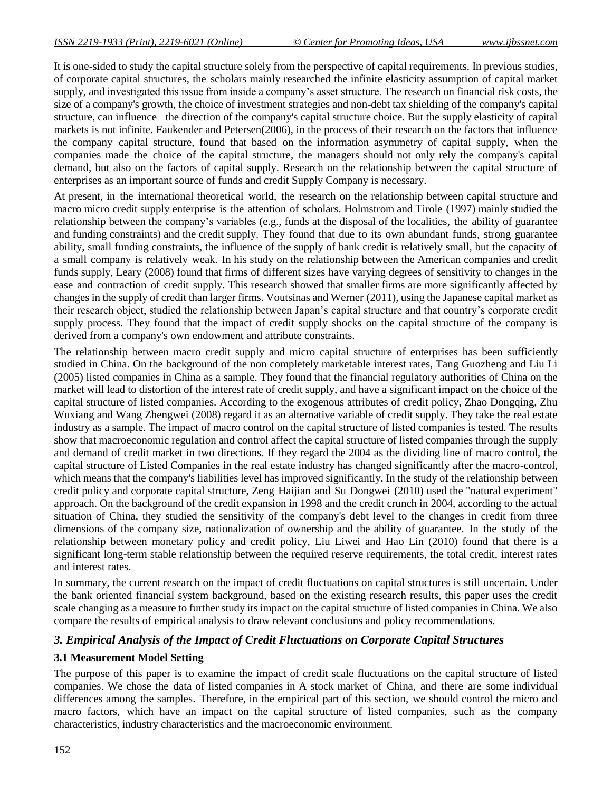It is one-sided to study the capital structure solely from the perspective of capital requirements. In previous studies, of corporate capital structures, the scholars mainly researched the infinite elasticity assumption of capital market supply, and investigated this issue from inside a company's asset structure. The research on financial risk costs, the size of a company's growth, the choice of investment strategies and non-debt tax shielding of the company's capital structure, can influence the direction of the company's capital structure choice. But the supply elasticity of capital markets is not infinite. Faukender and Petersen(2006), in the process of their research on the factors that influence the company capital structure, found that based on the information asymmetry of capital supply, when the companies made the choice of the capital structure, the managers should not only rely the company's capital demand, but also on the factors of capital supply. Research on the relationship between the capital structure of enterprises as an important source of funds and credit Supply Company is necessary.

At present, in the international theoretical world, the research on the relationship between capital structure and macro micro credit supply enterprise is the attention of scholars. Holmstrom and Tirole (1997) mainly studied the relationship between the company's variables (e.g., funds at the disposal of the localities, the ability of guarantee and funding constraints) and the credit supply. They found that due to its own abundant funds, strong guarantee ability, small funding constraints, the influence of the supply of bank credit is relatively small, but the capacity of a small company is relatively weak. In his study on the relationship between the American companies and credit funds supply, Leary (2008) found that firms of different sizes have varying degrees of sensitivity to changes in the ease and contraction of credit supply. This research showed that smaller firms are more significantly affected by changes in the supply of credit than larger firms. Voutsinas and Werner (2011), using the Japanese capital market as their research object, studied the relationship between Japan's capital structure and that country's corporate credit supply process. They found that the impact of credit supply shocks on the capital structure of the company is derived from a company's own endowment and attribute constraints.

The relationship between macro credit supply and micro capital structure of enterprises has been sufficiently studied in China. On the background of the non completely marketable interest rates, Tang Guozheng and Liu Li (2005) listed companies in China as a sample. They found that the financial regulatory authorities of China on the market will lead to distortion of the interest rate of credit supply, and have a significant impact on the choice of the capital structure of listed companies. According to the exogenous attributes of credit policy, Zhao Dongqing, Zhu Wuxiang and Wang Zhengwei (2008) regard it as an alternative variable of credit supply. They take the real estate industry as a sample. The impact of macro control on the capital structure of listed companies is tested. The results show that macroeconomic regulation and control affect the capital structure of listed companies through the supply and demand of credit market in two directions. If they regard the 2004 as the dividing line of macro control, the capital structure of Listed Companies in the real estate industry has changed significantly after the macro-control, which means that the company's liabilities level has improved significantly. In the study of the relationship between credit policy and corporate capital structure, Zeng Haijian and Su Dongwei (2010) used the "natural experiment" approach. On the background of the credit expansion in 1998 and the credit crunch in 2004, according to the actual situation of China, they studied the sensitivity of the company's debt level to the changes in credit from three dimensions of the company size, nationalization of ownership and the ability of guarantee. In the study of the relationship between monetary policy and credit policy, Liu Liwei and Hao Lin (2010) found that there is a significant long-term stable relationship between the required reserve requirements, the total credit, interest rates and interest rates.

In summary, the current research on the impact of credit fluctuations on capital structures is still uncertain. Under the bank oriented financial system background, based on the existing research results, this paper uses the credit scale changing as a measure to further study its impact on the capital structure of listed companies in China. We also compare the results of empirical analysis to draw relevant conclusions and policy recommendations.

#### *3. Empirical Analysis of the Impact of Credit Fluctuations on Corporate Capital Structures*

#### **3.1 Measurement Model Setting**

The purpose of this paper is to examine the impact of credit scale fluctuations on the capital structure of listed companies. We chose the data of listed companies in A stock market of China, and there are some individual differences among the samples. Therefore, in the empirical part of this section, we should control the micro and macro factors, which have an impact on the capital structure of listed companies, such as the company characteristics, industry characteristics and the macroeconomic environment.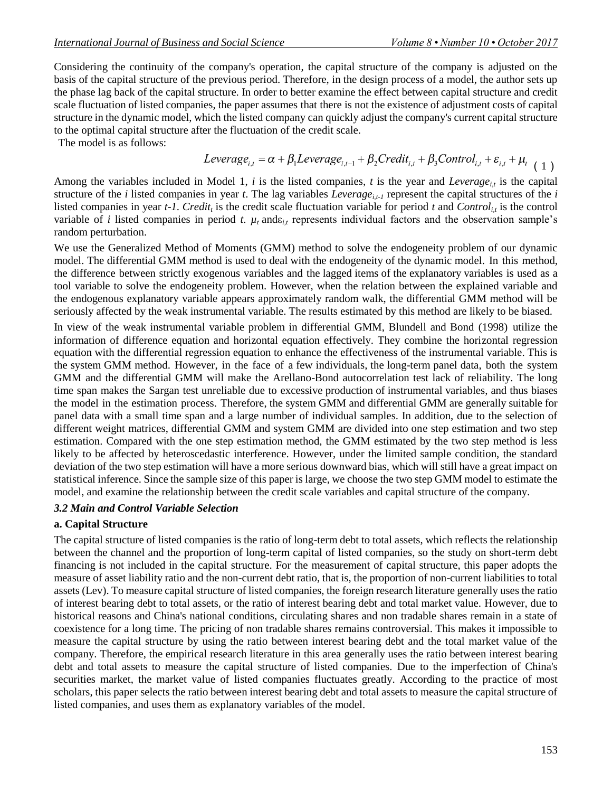Considering the continuity of the company's operation, the capital structure of the company is adjusted on the basis of the capital structure of the previous period. Therefore, in the design process of a model, the author sets up the phase lag back of the capital structure. In order to better examine the effect between capital structure and credit scale fluctuation of listed companies, the paper assumes that there is not the existence of adjustment costs of capital structure in the dynamic model, which the listed company can quickly adjust the company's current capital structure to the optimal capital structure after the fluctuation of the credit scale.

The model is as follows:

$$
Leverage_{i,t} = \alpha + \beta_1 Leverage_{i,t-1} + \beta_2 Credit_{i,t} + \beta_3 Control_{i,t} + \varepsilon_{i,t} + \mu_{t-1})
$$

Among the variables included in Model 1,  $i$  is the listed companies,  $t$  is the year and *Leverage*<sub>*it*</sub> is the capital structure of the *i* listed companies in year *t*. The lag variables *Leverage<sub>it-1</sub>* represent the capital structures of the *i* listed companies in year  $t$ -1. *Credit<sub>t</sub>* is the credit scale fluctuation variable for period  $t$  and  $Control_{i,t}$  is the control variable of *i* listed companies in period *t*.  $\mu_t$  and  $\varepsilon_{i,t}$  represents individual factors and the observation sample's random perturbation.

We use the Generalized Method of Moments (GMM) method to solve the endogeneity problem of our dynamic model. The differential GMM method is used to deal with the endogeneity of the dynamic model. In this method, the difference between strictly exogenous variables and the lagged items of the explanatory variables is used as a tool variable to solve the endogeneity problem. However, when the relation between the explained variable and the endogenous explanatory variable appears approximately random walk, the differential GMM method will be seriously affected by the weak instrumental variable. The results estimated by this method are likely to be biased.

In view of the weak instrumental variable problem in differential GMM, Blundell and Bond (1998) utilize the information of difference equation and horizontal equation effectively. They combine the horizontal regression equation with the differential regression equation to enhance the effectiveness of the instrumental variable. This is the system GMM method. However, in the face of a few individuals, the long-term panel data, both the system GMM and the differential GMM will make the Arellano-Bond autocorrelation test lack of reliability. The long time span makes the Sargan test unreliable due to excessive production of instrumental variables, and thus biases the model in the estimation process. Therefore, the system GMM and differential GMM are generally suitable for panel data with a small time span and a large number of individual samples. In addition, due to the selection of different weight matrices, differential GMM and system GMM are divided into one step estimation and two step estimation. Compared with the one step estimation method, the GMM estimated by the two step method is less likely to be affected by heteroscedastic interference. However, under the limited sample condition, the standard deviation of the two step estimation will have a more serious downward bias, which will still have a great impact on statistical inference. Since the sample size of this paper is large, we choose the two step GMM model to estimate the model, and examine the relationship between the credit scale variables and capital structure of the company.

#### *3.2 Main and Control Variable Selection*

#### **a. Capital Structure**

The capital structure of listed companies is the ratio of long-term debt to total assets, which reflects the relationship between the channel and the proportion of long-term capital of listed companies, so the study on short-term debt financing is not included in the capital structure. For the measurement of capital structure, this paper adopts the measure of asset liability ratio and the non-current debt ratio, that is, the proportion of non-current liabilities to total assets (Lev). To measure capital structure of listed companies, the foreign research literature generally uses the ratio of interest bearing debt to total assets, or the ratio of interest bearing debt and total market value. However, due to historical reasons and China's national conditions, circulating shares and non tradable shares remain in a state of coexistence for a long time. The pricing of non tradable shares remains controversial. This makes it impossible to measure the capital structure by using the ratio between interest bearing debt and the total market value of the company. Therefore, the empirical research literature in this area generally uses the ratio between interest bearing debt and total assets to measure the capital structure of listed companies. Due to the imperfection of China's securities market, the market value of listed companies fluctuates greatly. According to the practice of most scholars, this paper selects the ratio between interest bearing debt and total assets to measure the capital structure of listed companies, and uses them as explanatory variables of the model.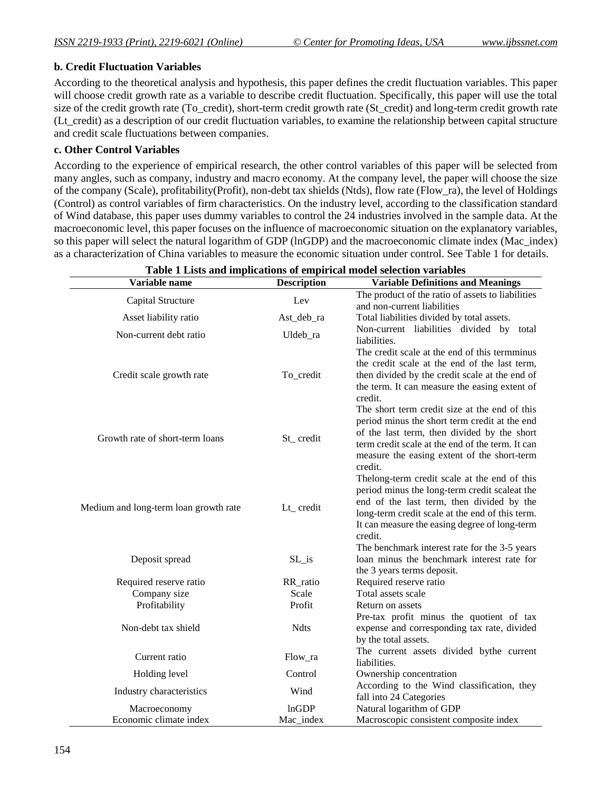#### **b. Credit Fluctuation Variables**

According to the theoretical analysis and hypothesis, this paper defines the credit fluctuation variables. This paper will choose credit growth rate as a variable to describe credit fluctuation. Specifically, this paper will use the total size of the credit growth rate (To\_credit), short-term credit growth rate (St\_credit) and long-term credit growth rate (Lt\_credit) as a description of our credit fluctuation variables, to examine the relationship between capital structure and credit scale fluctuations between companies.

#### **c. Other Control Variables**

According to the experience of empirical research, the other control variables of this paper will be selected from many angles, such as company, industry and macro economy. At the company level, the paper will choose the size of the company (Scale), profitability(Profit), non-debt tax shields (Ntds), flow rate (Flow\_ra), the level of Holdings (Control) as control variables of firm characteristics. On the industry level, according to the classification standard of Wind database, this paper uses dummy variables to control the 24 industries involved in the sample data. At the macroeconomic level, this paper focuses on the influence of macroeconomic situation on the explanatory variables, so this paper will select the natural logarithm of GDP (lnGDP) and the macroeconomic climate index (Mac\_index) as a characterization of China variables to measure the economic situation under control. See Table 1 for details.

| Variable name                         | <b>Description</b> | <b>Variable Definitions and Meanings</b>                                                                                                                                                                                                                                                                    |
|---------------------------------------|--------------------|-------------------------------------------------------------------------------------------------------------------------------------------------------------------------------------------------------------------------------------------------------------------------------------------------------------|
| Capital Structure                     | Lev                | The product of the ratio of assets to liabilities<br>and non-current liabilities                                                                                                                                                                                                                            |
| Asset liability ratio                 | Ast_deb_ra         | Total liabilities divided by total assets.                                                                                                                                                                                                                                                                  |
| Non-current debt ratio                | Uldeb_ra           | Non-current liabilities divided by total<br>liabilities.                                                                                                                                                                                                                                                    |
| Credit scale growth rate              | To_credit          | The credit scale at the end of this termminus<br>the credit scale at the end of the last term,<br>then divided by the credit scale at the end of<br>the term. It can measure the easing extent of<br>credit.                                                                                                |
| Growth rate of short-term loans       | St_credit          | The short term credit size at the end of this<br>period minus the short term credit at the end<br>of the last term, then divided by the short<br>term credit scale at the end of the term. It can<br>measure the easing extent of the short-term<br>credit.                                                 |
| Medium and long-term loan growth rate | Lt_credit          | The long-term credit scale at the end of this<br>period minus the long-term credit scaleat the<br>end of the last term, then divided by the<br>long-term credit scale at the end of this term.<br>It can measure the easing degree of long-term<br>credit.<br>The benchmark interest rate for the 3-5 years |
| Deposit spread                        | $SL_is$            | loan minus the benchmark interest rate for<br>the 3 years terms deposit.                                                                                                                                                                                                                                    |
| Required reserve ratio                | RR_ratio           | Required reserve ratio                                                                                                                                                                                                                                                                                      |
| Company size                          | Scale              | Total assets scale                                                                                                                                                                                                                                                                                          |
| Profitability                         | Profit             | Return on assets                                                                                                                                                                                                                                                                                            |
| Non-debt tax shield                   | <b>Ndts</b>        | Pre-tax profit minus the quotient of tax<br>expense and corresponding tax rate, divided<br>by the total assets.                                                                                                                                                                                             |
| Current ratio                         | Flow_ra            | The current assets divided bythe current<br>liabilities.                                                                                                                                                                                                                                                    |
| Holding level                         | Control            | Ownership concentration                                                                                                                                                                                                                                                                                     |
| Industry characteristics              | Wind               | According to the Wind classification, they<br>fall into 24 Categories                                                                                                                                                                                                                                       |
| Macroeconomy                          | lnGDP              | Natural logarithm of GDP                                                                                                                                                                                                                                                                                    |
| Economic climate index                | Mac_index          | Macroscopic consistent composite index                                                                                                                                                                                                                                                                      |

**Table 1 Lists and implications of empirical model selection variables**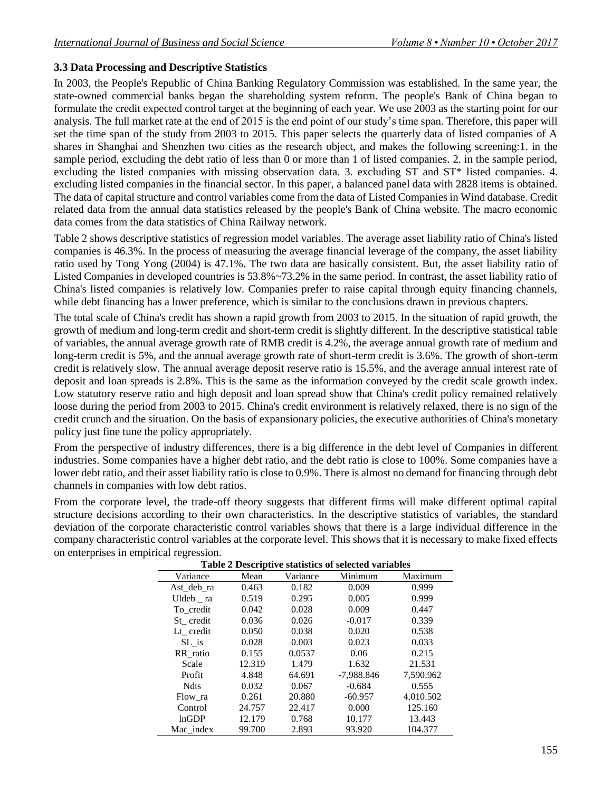# **3.3 Data Processing and Descriptive Statistics**

In 2003, the People's Republic of China Banking Regulatory Commission was established. In the same year, the state-owned commercial banks began the shareholding system reform. The people's Bank of China began to formulate the credit expected control target at the beginning of each year. We use 2003 as the starting point for our analysis. The full market rate at the end of 2015 is the end point of our study's time span. Therefore, this paper will set the time span of the study from 2003 to 2015. This paper selects the quarterly data of listed companies of A shares in Shanghai and Shenzhen two cities as the research object, and makes the following screening:1. in the sample period, excluding the debt ratio of less than 0 or more than 1 of listed companies. 2. in the sample period, excluding the listed companies with missing observation data. 3. excluding ST and ST\* listed companies. 4. excluding listed companies in the financial sector. In this paper, a balanced panel data with 2828 items is obtained. The data of capital structure and control variables come from the data of Listed Companies in Wind database. Credit related data from the annual data statistics released by the people's Bank of China website. The macro economic data comes from the data statistics of China Railway network.

Table 2 shows descriptive statistics of regression model variables. The average asset liability ratio of China's listed companies is 46.3%. In the process of measuring the average financial leverage of the company, the asset liability ratio used by Tong Yong (2004) is 47.1%. The two data are basically consistent. But, the asset liability ratio of Listed Companies in developed countries is 53.8%~73.2% in the same period. In contrast, the asset liability ratio of China's listed companies is relatively low. Companies prefer to raise capital through equity financing channels, while debt financing has a lower preference, which is similar to the conclusions drawn in previous chapters.

The total scale of China's credit has shown a rapid growth from 2003 to 2015. In the situation of rapid growth, the growth of medium and long-term credit and short-term credit is slightly different. In the descriptive statistical table of variables, the annual average growth rate of RMB credit is 4.2%, the average annual growth rate of medium and long-term credit is 5%, and the annual average growth rate of short-term credit is 3.6%. The growth of short-term credit is relatively slow. The annual average deposit reserve ratio is 15.5%, and the average annual interest rate of deposit and loan spreads is 2.8%. This is the same as the information conveyed by the credit scale growth index. Low statutory reserve ratio and high deposit and loan spread show that China's credit policy remained relatively loose during the period from 2003 to 2015. China's credit environment is relatively relaxed, there is no sign of the credit crunch and the situation. On the basis of expansionary policies, the executive authorities of China's monetary policy just fine tune the policy appropriately.

From the perspective of industry differences, there is a big difference in the debt level of Companies in different industries. Some companies have a higher debt ratio, and the debt ratio is close to 100%. Some companies have a lower debt ratio, and their asset liability ratio is close to 0.9%. There is almost no demand for financing through debt channels in companies with low debt ratios.

From the corporate level, the trade-off theory suggests that different firms will make different optimal capital structure decisions according to their own characteristics. In the descriptive statistics of variables, the standard deviation of the corporate characteristic control variables shows that there is a large individual difference in the company characteristic control variables at the corporate level. This shows that it is necessary to make fixed effects on enterprises in empirical regression.

| Table 2 Descriptive statistics of selected variables |        |          |              |           |
|------------------------------------------------------|--------|----------|--------------|-----------|
| Variance                                             | Mean   | Variance | Minimum      | Maximum   |
| Ast deb ra                                           | 0.463  | 0.182    | 0.009        | 0.999     |
| $U$ ldeb $\_$ ra                                     | 0.519  | 0.295    | 0.005        | 0.999     |
| To credit                                            | 0.042  | 0.028    | 0.009        | 0.447     |
| St credit                                            | 0.036  | 0.026    | $-0.017$     | 0.339     |
| Lt credit                                            | 0.050  | 0.038    | 0.020        | 0.538     |
| SL is                                                | 0.028  | 0.003    | 0.023        | 0.033     |
| RR ratio                                             | 0.155  | 0.0537   | 0.06         | 0.215     |
| Scale                                                | 12.319 | 1.479    | 1.632        | 21.531    |
| Profit                                               | 4.848  | 64.691   | $-7.988.846$ | 7.590.962 |
| <b>Ndts</b>                                          | 0.032  | 0.067    | $-0.684$     | 0.555     |
| Flow ra                                              | 0.261  | 20.880   | $-60.957$    | 4.010.502 |
| Control                                              | 24.757 | 22.417   | 0.000        | 125.160   |
| lnGDP                                                | 12.179 | 0.768    | 10.177       | 13.443    |
| Mac index                                            | 99.700 | 2.893    | 93.920       | 104.377   |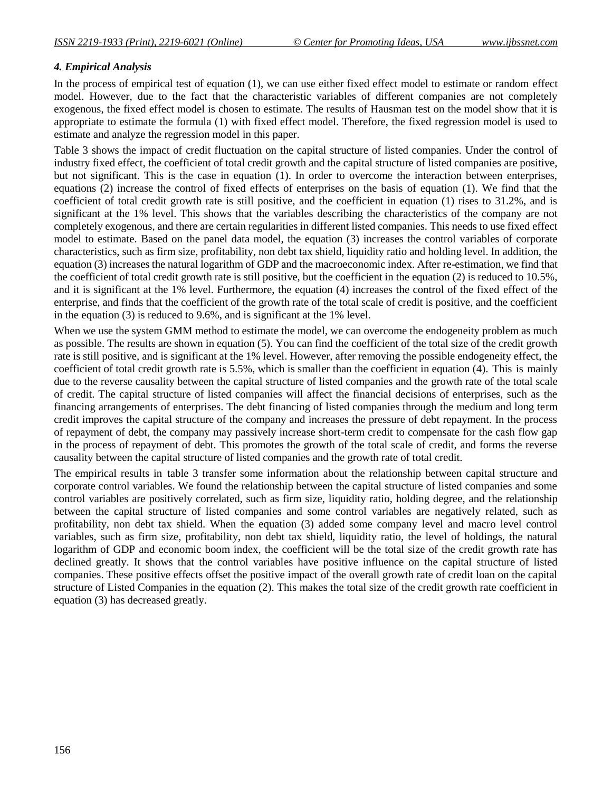#### *4. Empirical Analysis*

In the process of empirical test of equation (1), we can use either fixed effect model to estimate or random effect model. However, due to the fact that the characteristic variables of different companies are not completely exogenous, the fixed effect model is chosen to estimate. The results of Hausman test on the model show that it is appropriate to estimate the formula (1) with fixed effect model. Therefore, the fixed regression model is used to estimate and analyze the regression model in this paper.

Table 3 shows the impact of credit fluctuation on the capital structure of listed companies. Under the control of industry fixed effect, the coefficient of total credit growth and the capital structure of listed companies are positive, but not significant. This is the case in equation (1). In order to overcome the interaction between enterprises, equations (2) increase the control of fixed effects of enterprises on the basis of equation (1). We find that the coefficient of total credit growth rate is still positive, and the coefficient in equation (1) rises to 31.2%, and is significant at the 1% level. This shows that the variables describing the characteristics of the company are not completely exogenous, and there are certain regularities in different listed companies. This needs to use fixed effect model to estimate. Based on the panel data model, the equation (3) increases the control variables of corporate characteristics, such as firm size, profitability, non debt tax shield, liquidity ratio and holding level. In addition, the equation (3) increases the natural logarithm of GDP and the macroeconomic index. After re-estimation, we find that the coefficient of total credit growth rate is still positive, but the coefficient in the equation (2) is reduced to 10.5%, and it is significant at the 1% level. Furthermore, the equation (4) increases the control of the fixed effect of the enterprise, and finds that the coefficient of the growth rate of the total scale of credit is positive, and the coefficient in the equation (3) is reduced to 9.6%, and is significant at the 1% level.

When we use the system GMM method to estimate the model, we can overcome the endogeneity problem as much as possible. The results are shown in equation (5). You can find the coefficient of the total size of the credit growth rate is still positive, and is significant at the 1% level. However, after removing the possible endogeneity effect, the coefficient of total credit growth rate is 5.5%, which is smaller than the coefficient in equation (4). This is mainly due to the reverse causality between the capital structure of listed companies and the growth rate of the total scale of credit. The capital structure of listed companies will affect the financial decisions of enterprises, such as the financing arrangements of enterprises. The debt financing of listed companies through the medium and long term credit improves the capital structure of the company and increases the pressure of debt repayment. In the process of repayment of debt, the company may passively increase short-term credit to compensate for the cash flow gap in the process of repayment of debt. This promotes the growth of the total scale of credit, and forms the reverse causality between the capital structure of listed companies and the growth rate of total credit.

The empirical results in table 3 transfer some information about the relationship between capital structure and corporate control variables. We found the relationship between the capital structure of listed companies and some control variables are positively correlated, such as firm size, liquidity ratio, holding degree, and the relationship between the capital structure of listed companies and some control variables are negatively related, such as profitability, non debt tax shield. When the equation (3) added some company level and macro level control variables, such as firm size, profitability, non debt tax shield, liquidity ratio, the level of holdings, the natural logarithm of GDP and economic boom index, the coefficient will be the total size of the credit growth rate has declined greatly. It shows that the control variables have positive influence on the capital structure of listed companies. These positive effects offset the positive impact of the overall growth rate of credit loan on the capital structure of Listed Companies in the equation (2). This makes the total size of the credit growth rate coefficient in equation (3) has decreased greatly.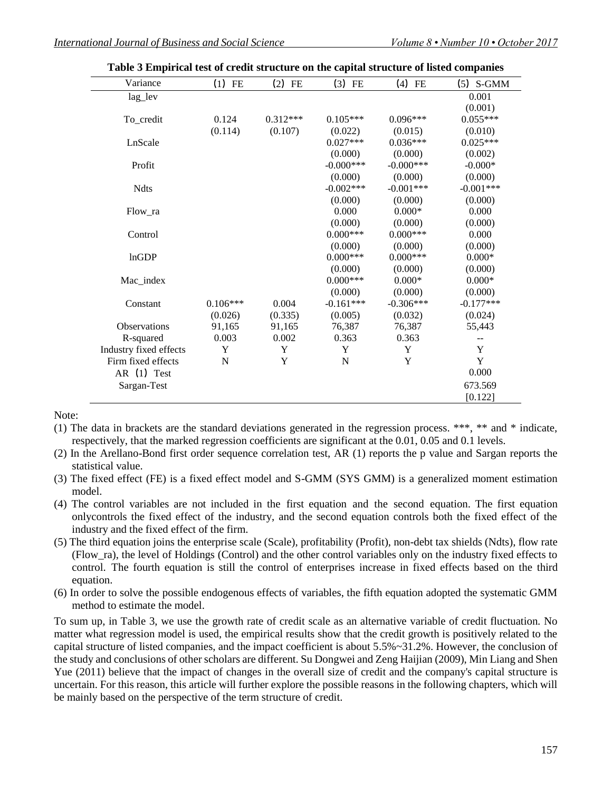| Variance               | $(1)$ FE   | $(2)$ FE   | $(3)$ FE     | $(4)$ FE    | $(5)$ S-GMM |
|------------------------|------------|------------|--------------|-------------|-------------|
| lag_lev                |            |            |              |             | 0.001       |
|                        |            |            |              |             | (0.001)     |
| To_credit              | 0.124      | $0.312***$ | $0.105***$   | $0.096***$  | $0.055***$  |
|                        | (0.114)    | (0.107)    | (0.022)      | (0.015)     | (0.010)     |
| LnScale                |            |            | $0.027***$   | $0.036***$  | $0.025***$  |
|                        |            |            | (0.000)      | (0.000)     | (0.002)     |
| Profit                 |            |            | $-0.000$ *** | $-0.000***$ | $-0.000*$   |
|                        |            |            | (0.000)      | (0.000)     | (0.000)     |
| <b>Ndts</b>            |            |            | $-0.002***$  | $-0.001***$ | $-0.001***$ |
|                        |            |            | (0.000)      | (0.000)     | (0.000)     |
| Flow ra                |            |            | 0.000        | $0.000*$    | 0.000       |
|                        |            |            | (0.000)      | (0.000)     | (0.000)     |
| Control                |            |            | $0.000***$   | $0.000***$  | 0.000       |
|                        |            |            | (0.000)      | (0.000)     | (0.000)     |
| lnGDP                  |            |            | $0.000***$   | $0.000***$  | $0.000*$    |
|                        |            |            | (0.000)      | (0.000)     | (0.000)     |
| Mac_index              |            |            | $0.000***$   | $0.000*$    | $0.000*$    |
|                        |            |            | (0.000)      | (0.000)     | (0.000)     |
| Constant               | $0.106***$ | 0.004      | $-0.161***$  | $-0.306***$ | $-0.177***$ |
|                        | (0.026)    | (0.335)    | (0.005)      | (0.032)     | (0.024)     |
| Observations           | 91,165     | 91,165     | 76,387       | 76,387      | 55,443      |
| R-squared              | 0.003      | 0.002      | 0.363        | 0.363       | --          |
| Industry fixed effects | Y          | Y          | Y            | Y           | Y           |
| Firm fixed effects     | N          | Y          | ${\bf N}$    | Y           | Y           |
| AR (1) Test            |            |            |              |             | 0.000       |
| Sargan-Test            |            |            |              |             | 673.569     |
|                        |            |            |              |             | [0.122]     |

**Table 3 Empirical test of credit structure on the capital structure of listed companies**

Note:

- (1) The data in brackets are the standard deviations generated in the regression process. \*\*\*, \*\* and \* indicate, respectively, that the marked regression coefficients are significant at the 0.01, 0.05 and 0.1 levels.
- (2) In the Arellano-Bond first order sequence correlation test, AR (1) reports the p value and Sargan reports the statistical value.
- (3) The fixed effect (FE) is a fixed effect model and S-GMM (SYS GMM) is a generalized moment estimation model.
- (4) The control variables are not included in the first equation and the second equation. The first equation onlycontrols the fixed effect of the industry, and the second equation controls both the fixed effect of the industry and the fixed effect of the firm.
- (5) The third equation joins the enterprise scale (Scale), profitability (Profit), non-debt tax shields (Ndts), flow rate (Flow\_ra), the level of Holdings (Control) and the other control variables only on the industry fixed effects to control. The fourth equation is still the control of enterprises increase in fixed effects based on the third equation.
- (6) In order to solve the possible endogenous effects of variables, the fifth equation adopted the systematic GMM method to estimate the model.

To sum up, in Table 3, we use the growth rate of credit scale as an alternative variable of credit fluctuation. No matter what regression model is used, the empirical results show that the credit growth is positively related to the capital structure of listed companies, and the impact coefficient is about 5.5%~31.2%. However, the conclusion of the study and conclusions of other scholars are different. Su Dongwei and Zeng Haijian (2009), Min Liang and Shen Yue (2011) believe that the impact of changes in the overall size of credit and the company's capital structure is uncertain. For this reason, this article will further explore the possible reasons in the following chapters, which will be mainly based on the perspective of the term structure of credit.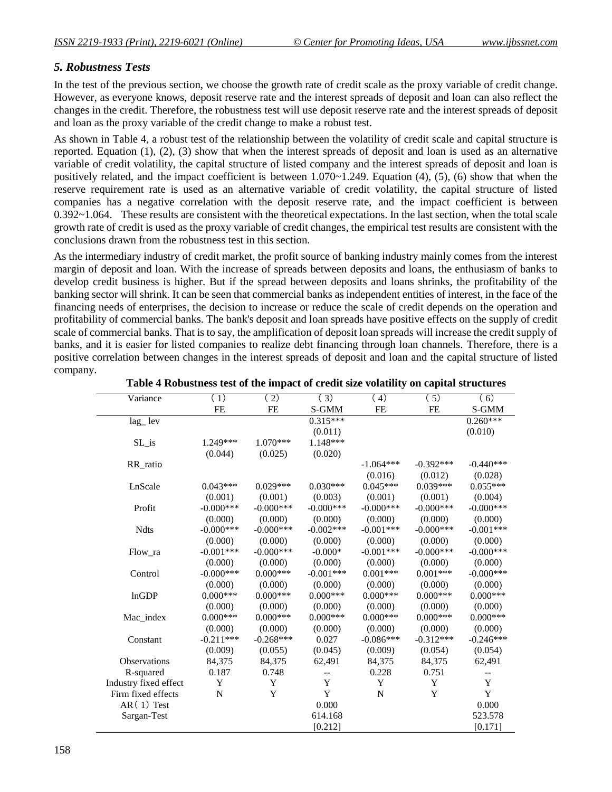# *5. Robustness Tests*

In the test of the previous section, we choose the growth rate of credit scale as the proxy variable of credit change. However, as everyone knows, deposit reserve rate and the interest spreads of deposit and loan can also reflect the changes in the credit. Therefore, the robustness test will use deposit reserve rate and the interest spreads of deposit and loan as the proxy variable of the credit change to make a robust test.

As shown in Table 4, a robust test of the relationship between the volatility of credit scale and capital structure is reported. Equation (1), (2), (3) show that when the interest spreads of deposit and loan is used as an alternative variable of credit volatility, the capital structure of listed company and the interest spreads of deposit and loan is positively related, and the impact coefficient is between  $1.070 \sim 1.249$ . Equation (4), (5), (6) show that when the reserve requirement rate is used as an alternative variable of credit volatility, the capital structure of listed companies has a negative correlation with the deposit reserve rate, and the impact coefficient is between 0.392~1.064. These results are consistent with the theoretical expectations. In the last section, when the total scale growth rate of credit is used as the proxy variable of credit changes, the empirical test results are consistent with the conclusions drawn from the robustness test in this section.

As the intermediary industry of credit market, the profit source of banking industry mainly comes from the interest margin of deposit and loan. With the increase of spreads between deposits and loans, the enthusiasm of banks to develop credit business is higher. But if the spread between deposits and loans shrinks, the profitability of the banking sector will shrink. It can be seen that commercial banks as independent entities of interest, in the face of the financing needs of enterprises, the decision to increase or reduce the scale of credit depends on the operation and profitability of commercial banks. The bank's deposit and loan spreads have positive effects on the supply of credit scale of commercial banks. That is to say, the amplification of deposit loan spreads will increase the credit supply of banks, and it is easier for listed companies to realize debt financing through loan channels. Therefore, there is a positive correlation between changes in the interest spreads of deposit and loan and the capital structure of listed company.

| Variance                 | (1)          | (2)          | (3)          | (4)          | (5)          | (6)          |
|--------------------------|--------------|--------------|--------------|--------------|--------------|--------------|
|                          | <b>FE</b>    | <b>FE</b>    | S-GMM        | <b>FE</b>    | <b>FE</b>    | S-GMM        |
| $lag$ <sub>-</sub> $lev$ |              |              | $0.315***$   |              |              | $0.260***$   |
|                          |              |              | (0.011)      |              |              | (0.010)      |
| SL_is                    | 1.249***     | $1.070***$   | 1.148***     |              |              |              |
|                          | (0.044)      | (0.025)      | (0.020)      |              |              |              |
| RR ratio                 |              |              |              | $-1.064***$  | $-0.392***$  | $-0.440***$  |
|                          |              |              |              | (0.016)      | (0.012)      | (0.028)      |
| LnScale                  | $0.043***$   | $0.029***$   | $0.030***$   | $0.045***$   | $0.039***$   | $0.055***$   |
|                          | (0.001)      | (0.001)      | (0.003)      | (0.001)      | (0.001)      | (0.004)      |
| Profit                   | $-0.000$ *** | $-0.000$ *** | $-0.000$ *** | $-0.000$ *** | $-0.000$ *** | $-0.000$ *** |
|                          | (0.000)      | (0.000)      | (0.000)      | (0.000)      | (0.000)      | (0.000)      |
| <b>Ndts</b>              | $-0.000$ *** | $-0.000$ *** | $-0.002***$  | $-0.001***$  | $-0.000$ *** | $-0.001***$  |
|                          | (0.000)      | (0.000)      | (0.000)      | (0.000)      | (0.000)      | (0.000)      |
| Flow ra                  | $-0.001***$  | $-0.000$ *** | $-0.000*$    | $-0.001***$  | $-0.000$ *** | $-0.000$ *** |
|                          | (0.000)      | (0.000)      | (0.000)      | (0.000)      | (0.000)      | (0.000)      |
| Control                  | $-0.000$ *** | $0.000***$   | $-0.001***$  | $0.001***$   | $0.001***$   | $-0.000$ *** |
|                          | (0.000)      | (0.000)      | (0.000)      | (0.000)      | (0.000)      | (0.000)      |
| lnGDP                    | $0.000***$   | $0.000***$   | $0.000***$   | $0.000***$   | $0.000***$   | $0.000***$   |
|                          | (0.000)      | (0.000)      | (0.000)      | (0.000)      | (0.000)      | (0.000)      |
| Mac index                | $0.000***$   | $0.000***$   | $0.000***$   | $0.000***$   | $0.000***$   | $0.000***$   |
|                          | (0.000)      | (0.000)      | (0.000)      | (0.000)      | (0.000)      | (0.000)      |
| Constant                 | $-0.211***$  | $-0.268***$  | 0.027        | $-0.086***$  | $-0.312***$  | $-0.246***$  |
|                          | (0.009)      | (0.055)      | (0.045)      | (0.009)      | (0.054)      | (0.054)      |
| Observations             | 84,375       | 84,375       | 62,491       | 84,375       | 84,375       | 62,491       |
| R-squared                | 0.187        | 0.748        | $-$          | 0.228        | 0.751        | --           |
| Industry fixed effect    | Y            | Y            | Y            | Y            | Y            | Y            |
| Firm fixed effects       | N            | Y            | Y            | $\mathbf N$  | Y            | Y            |
| $AR(1)$ Test             |              |              | 0.000        |              |              | 0.000        |
| Sargan-Test              |              |              | 614.168      |              |              | 523.578      |
|                          |              |              | [0.212]      |              |              | [0.171]      |
|                          |              |              |              |              |              |              |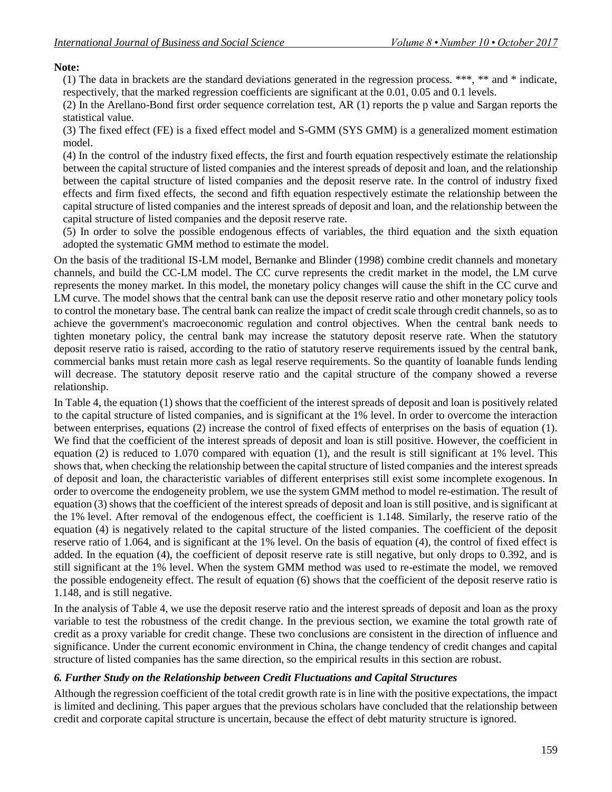**Note:** 

(1) The data in brackets are the standard deviations generated in the regression process. \*\*\*, \*\* and \* indicate, respectively, that the marked regression coefficients are significant at the 0.01, 0.05 and 0.1 levels.

(2) In the Arellano-Bond first order sequence correlation test, AR (1) reports the p value and Sargan reports the statistical value.

(3) The fixed effect (FE) is a fixed effect model and S-GMM (SYS GMM) is a generalized moment estimation model.

(4) In the control of the industry fixed effects, the first and fourth equation respectively estimate the relationship between the capital structure of listed companies and the interest spreads of deposit and loan, and the relationship between the capital structure of listed companies and the deposit reserve rate. In the control of industry fixed effects and firm fixed effects, the second and fifth equation respectively estimate the relationship between the capital structure of listed companies and the interest spreads of deposit and loan, and the relationship between the capital structure of listed companies and the deposit reserve rate.

(5) In order to solve the possible endogenous effects of variables, the third equation and the sixth equation adopted the systematic GMM method to estimate the model.

On the basis of the traditional IS-LM model, Bernanke and Blinder (1998) combine credit channels and monetary channels, and build the CC-LM model. The CC curve represents the credit market in the model, the LM curve represents the money market. In this model, the monetary policy changes will cause the shift in the CC curve and LM curve. The model shows that the central bank can use the deposit reserve ratio and other monetary policy tools to control the monetary base. The central bank can realize the impact of credit scale through credit channels, so as to achieve the government's macroeconomic regulation and control objectives. When the central bank needs to tighten monetary policy, the central bank may increase the statutory deposit reserve rate. When the statutory deposit reserve ratio is raised, according to the ratio of statutory reserve requirements issued by the central bank, commercial banks must retain more cash as legal reserve requirements. So the quantity of loanable funds lending will decrease. The statutory deposit reserve ratio and the capital structure of the company showed a reverse relationship.

In Table 4, the equation (1) shows that the coefficient of the interest spreads of deposit and loan is positively related to the capital structure of listed companies, and is significant at the 1% level. In order to overcome the interaction between enterprises, equations (2) increase the control of fixed effects of enterprises on the basis of equation (1). We find that the coefficient of the interest spreads of deposit and loan is still positive. However, the coefficient in equation (2) is reduced to 1.070 compared with equation (1), and the result is still significant at 1% level. This shows that, when checking the relationship between the capital structure of listed companies and the interest spreads of deposit and loan, the characteristic variables of different enterprises still exist some incomplete exogenous. In order to overcome the endogeneity problem, we use the system GMM method to model re-estimation. The result of equation (3) shows that the coefficient of the interest spreads of deposit and loan is still positive, and is significant at the 1% level. After removal of the endogenous effect, the coefficient is 1.148. Similarly, the reserve ratio of the equation (4) is negatively related to the capital structure of the listed companies. The coefficient of the deposit reserve ratio of 1.064, and is significant at the 1% level. On the basis of equation (4), the control of fixed effect is added. In the equation (4), the coefficient of deposit reserve rate is still negative, but only drops to 0.392, and is still significant at the 1% level. When the system GMM method was used to re-estimate the model, we removed the possible endogeneity effect. The result of equation (6) shows that the coefficient of the deposit reserve ratio is 1.148, and is still negative.

In the analysis of Table 4, we use the deposit reserve ratio and the interest spreads of deposit and loan as the proxy variable to test the robustness of the credit change. In the previous section, we examine the total growth rate of credit as a proxy variable for credit change. These two conclusions are consistent in the direction of influence and significance. Under the current economic environment in China, the change tendency of credit changes and capital structure of listed companies has the same direction, so the empirical results in this section are robust.

#### *6. Further Study on the Relationship between Credit Fluctuations and Capital Structures*

Although the regression coefficient of the total credit growth rate is in line with the positive expectations, the impact is limited and declining. This paper argues that the previous scholars have concluded that the relationship between credit and corporate capital structure is uncertain, because the effect of debt maturity structure is ignored.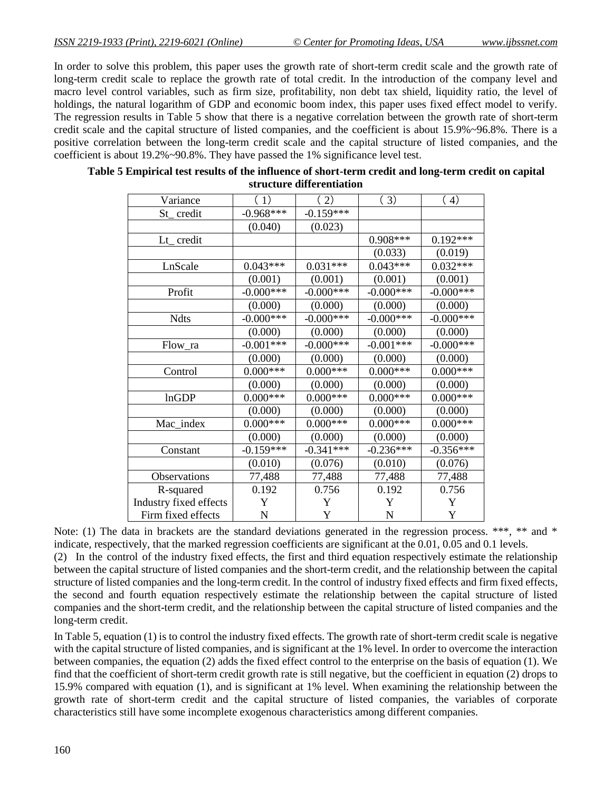In order to solve this problem, this paper uses the growth rate of short-term credit scale and the growth rate of long-term credit scale to replace the growth rate of total credit. In the introduction of the company level and macro level control variables, such as firm size, profitability, non debt tax shield, liquidity ratio, the level of holdings, the natural logarithm of GDP and economic boom index, this paper uses fixed effect model to verify. The regression results in Table 5 show that there is a negative correlation between the growth rate of short-term credit scale and the capital structure of listed companies, and the coefficient is about 15.9%~96.8%. There is a positive correlation between the long-term credit scale and the capital structure of listed companies, and the coefficient is about 19.2%~90.8%. They have passed the 1% significance level test.

| Variance               | (1)          | (2)          | (3)          | (4)          |
|------------------------|--------------|--------------|--------------|--------------|
| St_credit              | $-0.968***$  | $-0.159***$  |              |              |
|                        | (0.040)      | (0.023)      |              |              |
| Lt_credit              |              |              | $0.908***$   | $0.192***$   |
|                        |              |              | (0.033)      | (0.019)      |
| LnScale                | $0.043***$   | $0.031***$   | $0.043***$   | $0.032***$   |
|                        | (0.001)      | (0.001)      | (0.001)      | (0.001)      |
| Profit                 | $-0.000$ *** | $-0.000$ *** | $-0.000$ *** | $-0.000$ *** |
|                        | (0.000)      | (0.000)      | (0.000)      | (0.000)      |
| <b>Ndts</b>            | $-0.000$ *** | $-0.000$ *** | $-0.000$ *** | $-0.000$ *** |
|                        | (0.000)      | (0.000)      | (0.000)      | (0.000)      |
| Flow_ra                | $-0.001***$  | $-0.000$ *** | $-0.001***$  | $-0.000$ *** |
|                        | (0.000)      | (0.000)      | (0.000)      | (0.000)      |
| Control                | $0.000***$   | $0.000***$   | $0.000***$   | $0.000**$    |
|                        | (0.000)      | (0.000)      | (0.000)      | (0.000)      |
| lnGDP                  | $0.000***$   | $0.000***$   | $0.000***$   | $0.000***$   |
|                        | (0.000)      | (0.000)      | (0.000)      | (0.000)      |
| Mac_index              | $0.000***$   | $0.000***$   | $0.000***$   | $0.000***$   |
|                        | (0.000)      | (0.000)      | (0.000)      | (0.000)      |
| Constant               | $-0.159***$  | $-0.341***$  | $-0.236***$  | $-0.356***$  |
|                        | (0.010)      | (0.076)      | (0.010)      | (0.076)      |
| Observations           | 77,488       | 77,488       | 77,488       | 77,488       |
| R-squared              | 0.192        | 0.756        | 0.192        | 0.756        |
| Industry fixed effects | Y            | Y            | Y            | Y            |
| Firm fixed effects     | ${\bf N}$    | Y            | N            | Y            |

| Table 5 Empirical test results of the influence of short-term credit and long-term credit on capital |
|------------------------------------------------------------------------------------------------------|
| structure differentiation                                                                            |

Note: (1) The data in brackets are the standard deviations generated in the regression process. \*\*\*, \*\* and \* indicate, respectively, that the marked regression coefficients are significant at the 0.01, 0.05 and 0.1 levels.

(2) In the control of the industry fixed effects, the first and third equation respectively estimate the relationship between the capital structure of listed companies and the short-term credit, and the relationship between the capital structure of listed companies and the long-term credit. In the control of industry fixed effects and firm fixed effects, the second and fourth equation respectively estimate the relationship between the capital structure of listed companies and the short-term credit, and the relationship between the capital structure of listed companies and the long-term credit.

In Table 5, equation (1) is to control the industry fixed effects. The growth rate of short-term credit scale is negative with the capital structure of listed companies, and is significant at the 1% level. In order to overcome the interaction between companies, the equation (2) adds the fixed effect control to the enterprise on the basis of equation (1). We find that the coefficient of short-term credit growth rate is still negative, but the coefficient in equation (2) drops to 15.9% compared with equation (1), and is significant at 1% level. When examining the relationship between the growth rate of short-term credit and the capital structure of listed companies, the variables of corporate characteristics still have some incomplete exogenous characteristics among different companies.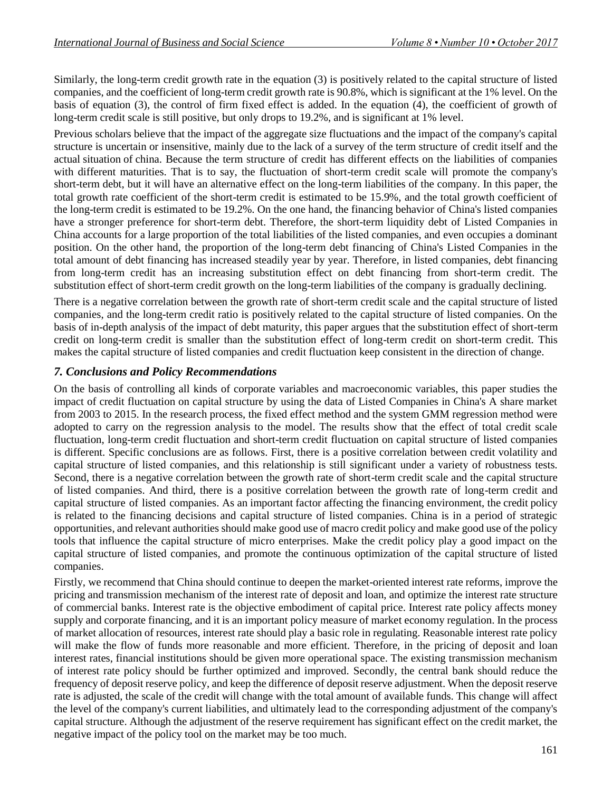Similarly, the long-term credit growth rate in the equation (3) is positively related to the capital structure of listed companies, and the coefficient of long-term credit growth rate is 90.8%, which is significant at the 1% level. On the basis of equation (3), the control of firm fixed effect is added. In the equation (4), the coefficient of growth of long-term credit scale is still positive, but only drops to 19.2%, and is significant at 1% level.

Previous scholars believe that the impact of the aggregate size fluctuations and the impact of the company's capital structure is uncertain or insensitive, mainly due to the lack of a survey of the term structure of credit itself and the actual situation of china. Because the term structure of credit has different effects on the liabilities of companies with different maturities. That is to say, the fluctuation of short-term credit scale will promote the company's short-term debt, but it will have an alternative effect on the long-term liabilities of the company. In this paper, the total growth rate coefficient of the short-term credit is estimated to be 15.9%, and the total growth coefficient of the long-term credit is estimated to be 19.2%. On the one hand, the financing behavior of China's listed companies have a stronger preference for short-term debt. Therefore, the short-term liquidity debt of Listed Companies in China accounts for a large proportion of the total liabilities of the listed companies, and even occupies a dominant position. On the other hand, the proportion of the long-term debt financing of China's Listed Companies in the total amount of debt financing has increased steadily year by year. Therefore, in listed companies, debt financing from long-term credit has an increasing substitution effect on debt financing from short-term credit. The substitution effect of short-term credit growth on the long-term liabilities of the company is gradually declining.

There is a negative correlation between the growth rate of short-term credit scale and the capital structure of listed companies, and the long-term credit ratio is positively related to the capital structure of listed companies. On the basis of in-depth analysis of the impact of debt maturity, this paper argues that the substitution effect of short-term credit on long-term credit is smaller than the substitution effect of long-term credit on short-term credit. This makes the capital structure of listed companies and credit fluctuation keep consistent in the direction of change.

#### *7. Conclusions and Policy Recommendations*

On the basis of controlling all kinds of corporate variables and macroeconomic variables, this paper studies the impact of credit fluctuation on capital structure by using the data of Listed Companies in China's A share market from 2003 to 2015. In the research process, the fixed effect method and the system GMM regression method were adopted to carry on the regression analysis to the model. The results show that the effect of total credit scale fluctuation, long-term credit fluctuation and short-term credit fluctuation on capital structure of listed companies is different. Specific conclusions are as follows. First, there is a positive correlation between credit volatility and capital structure of listed companies, and this relationship is still significant under a variety of robustness tests. Second, there is a negative correlation between the growth rate of short-term credit scale and the capital structure of listed companies. And third, there is a positive correlation between the growth rate of long-term credit and capital structure of listed companies. As an important factor affecting the financing environment, the credit policy is related to the financing decisions and capital structure of listed companies. China is in a period of strategic opportunities, and relevant authorities should make good use of macro credit policy and make good use of the policy tools that influence the capital structure of micro enterprises. Make the credit policy play a good impact on the capital structure of listed companies, and promote the continuous optimization of the capital structure of listed companies.

Firstly, we recommend that China should continue to deepen the market-oriented interest rate reforms, improve the pricing and transmission mechanism of the interest rate of deposit and loan, and optimize the interest rate structure of commercial banks. Interest rate is the objective embodiment of capital price. Interest rate policy affects money supply and corporate financing, and it is an important policy measure of market economy regulation. In the process of market allocation of resources, interest rate should play a basic role in regulating. Reasonable interest rate policy will make the flow of funds more reasonable and more efficient. Therefore, in the pricing of deposit and loan interest rates, financial institutions should be given more operational space. The existing transmission mechanism of interest rate policy should be further optimized and improved. Secondly, the central bank should reduce the frequency of deposit reserve policy, and keep the difference of deposit reserve adjustment. When the deposit reserve rate is adjusted, the scale of the credit will change with the total amount of available funds. This change will affect the level of the company's current liabilities, and ultimately lead to the corresponding adjustment of the company's capital structure. Although the adjustment of the reserve requirement has significant effect on the credit market, the negative impact of the policy tool on the market may be too much.